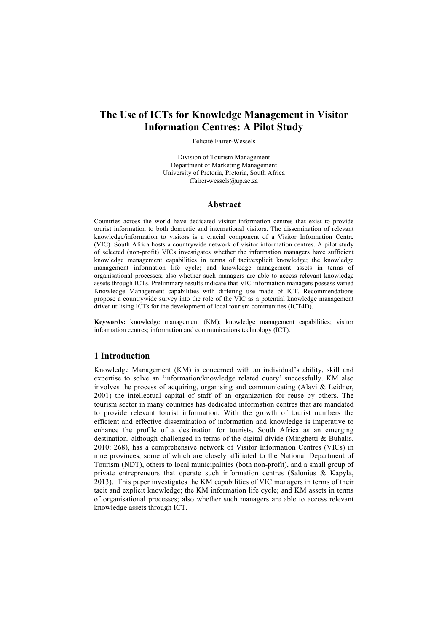# **The Use of ICTs for Knowledge Management in Visitor Information Centres: A Pilot Study**

Felicité Fairer-Wessels

Division of Tourism Management Department of Marketing Management University of Pretoria, Pretoria, South Africa ffairer-wessels@up.ac.za

#### **Abstract**

Countries across the world have dedicated visitor information centres that exist to provide tourist information to both domestic and international visitors. The dissemination of relevant knowledge/information to visitors is a crucial component of a Visitor Information Centre (VIC). South Africa hosts a countrywide network of visitor information centres. A pilot study of selected (non-profit) VICs investigates whether the information managers have sufficient knowledge management capabilities in terms of tacit/explicit knowledge; the knowledge management information life cycle; and knowledge management assets in terms of organisational processes; also whether such managers are able to access relevant knowledge assets through ICTs. Preliminary results indicate that VIC information managers possess varied Knowledge Management capabilities with differing use made of ICT. Recommendations propose a countrywide survey into the role of the VIC as a potential knowledge management driver utilising ICTs for the development of local tourism communities (ICT4D).

**Keywords:** knowledge management (KM); knowledge management capabilities; visitor information centres; information and communications technology (ICT).

## **1 Introduction**

Knowledge Management (KM) is concerned with an individual's ability, skill and expertise to solve an 'information/knowledge related query' successfully. KM also involves the process of acquiring, organising and communicating (Alavi & Leidner, 2001) the intellectual capital of staff of an organization for reuse by others. The tourism sector in many countries has dedicated information centres that are mandated to provide relevant tourist information. With the growth of tourist numbers the efficient and effective dissemination of information and knowledge is imperative to enhance the profile of a destination for tourists. South Africa as an emerging destination, although challenged in terms of the digital divide (Minghetti & Buhalis, 2010: 268), has a comprehensive network of Visitor Information Centres (VICs) in nine provinces, some of which are closely affiliated to the National Department of Tourism (NDT), others to local municipalities (both non-profit), and a small group of private entrepreneurs that operate such information centres (Salonius & Kapyla, 2013). This paper investigates the KM capabilities of VIC managers in terms of their tacit and explicit knowledge; the KM information life cycle; and KM assets in terms of organisational processes; also whether such managers are able to access relevant knowledge assets through ICT.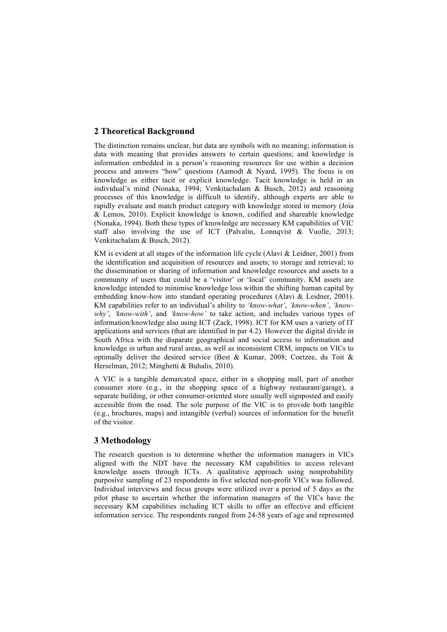# **2 Theoretical Background**

The distinction remains unclear, but data are symbols with no meaning; information is data with meaning that provides answers to certain questions; and knowledge is information embedded in a person's reasoning resources for use within a decision process and answers "how" questions (Aamodt & Nyard, 1995). The focus is on knowledge as either tacit or explicit knowledge. Tacit knowledge is held in an individual's mind (Nonaka, 1994; Venkitachalam & Busch, 2012) and reasoning processes of this knowledge is difficult to identify, although experts are able to rapidly evaluate and match product category with knowledge stored in memory (Joia & Lemos, 2010). Explicit knowledge is known, codified and shareable knowledge (Nonaka, 1994). Both these types of knowledge are necessary KM capabilities of VIC staff also involving the use of ICT (Palvalin, Lonnqvist & Vuolle, 2013; Venkitachalam & Busch, 2012).

KM is evident at all stages of the information life cycle (Alavi & Leidner, 2001) from the identification and acquisition of resources and assets; to storage and retrieval; to the dissemination or sharing of information and knowledge resources and assets to a community of users that could be a 'visitor' or 'local' community. KM assets are knowledge intended to minimise knowledge loss within the shifting human capital by embedding know-how into standard operating procedures (Alavi & Leidner, 2001). KM capabilities refer to an individual's ability to *'know-what'*, *'know-when'*, *'knowwhy'*, *'know-with'*, and *'know-how'* to take action, and includes various types of information/knowledge also using ICT (Zack, 1998). ICT for KM uses a variety of IT applications and services (that are identified in par 4.2). However the digital divide in South Africa with the disparate geographical and social access to information and knowledge in urban and rural areas, as well as inconsistent CRM, impacts on VICs to optimally deliver the desired service (Best & Kumar, 2008; Coetzee, du Toit  $\&$ Herselman, 2012; Minghetti & Buhalis, 2010).

A VIC is a tangible demarcated space, either in a shopping mall, part of another consumer store (e.g., in the shopping space of a highway restaurant/garage), a separate building, or other consumer-oriented store usually well signposted and easily accessible from the road. The sole purpose of the VIC is to provide both tangible (e.g., brochures, maps) and intangible (verbal) sources of information for the benefit of the visitor.

## **3 Methodology**

The research question is to determine whether the information managers in VICs aligned with the NDT have the necessary KM capabilities to access relevant knowledge assets through ICTs. A qualitative approach using nonprobability purposive sampling of 23 respondents in five selected non-profit VICs was followed. Individual interviews and focus groups were utilized over a period of 5 days as the pilot phase to ascertain whether the information managers of the VICs have the necessary KM capabilities including ICT skills to offer an effective and efficient information service. The respondents ranged from 24-58 years of age and represented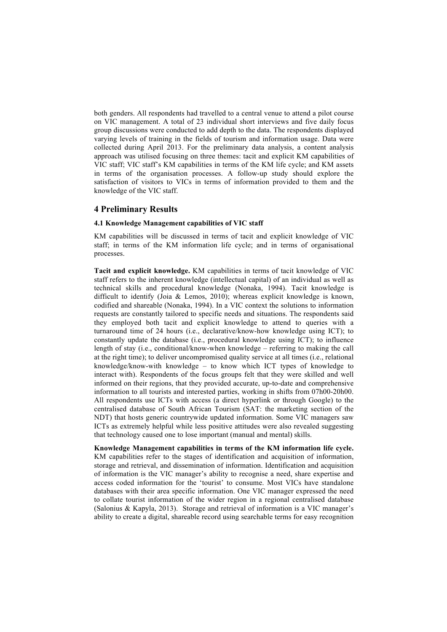both genders. All respondents had travelled to a central venue to attend a pilot course on VIC management. A total of 23 individual short interviews and five daily focus group discussions were conducted to add depth to the data. The respondents displayed varying levels of training in the fields of tourism and information usage. Data were collected during April 2013. For the preliminary data analysis, a content analysis approach was utilised focusing on three themes: tacit and explicit KM capabilities of VIC staff; VIC staff's KM capabilities in terms of the KM life cycle; and KM assets in terms of the organisation processes. A follow-up study should explore the satisfaction of visitors to VICs in terms of information provided to them and the knowledge of the VIC staff.

## **4 Preliminary Results**

#### **4.1 Knowledge Management capabilities of VIC staff**

KM capabilities will be discussed in terms of tacit and explicit knowledge of VIC staff; in terms of the KM information life cycle; and in terms of organisational processes.

**Tacit and explicit knowledge.** KM capabilities in terms of tacit knowledge of VIC staff refers to the inherent knowledge (intellectual capital) of an individual as well as technical skills and procedural knowledge (Nonaka, 1994). Tacit knowledge is difficult to identify (Joia & Lemos, 2010); whereas explicit knowledge is known, codified and shareable (Nonaka, 1994). In a VIC context the solutions to information requests are constantly tailored to specific needs and situations. The respondents said they employed both tacit and explicit knowledge to attend to queries with a turnaround time of 24 hours (i.e., declarative/know-how knowledge using ICT); to constantly update the database (i.e., procedural knowledge using ICT); to influence length of stay (i.e., conditional/know-when knowledge – referring to making the call at the right time); to deliver uncompromised quality service at all times (i.e., relational knowledge/know-with knowledge – to know which ICT types of knowledge to interact with). Respondents of the focus groups felt that they were skilled and well informed on their regions, that they provided accurate, up-to-date and comprehensive information to all tourists and interested parties, working in shifts from 07h00-20h00. All respondents use ICTs with access (a direct hyperlink or through Google) to the centralised database of South African Tourism (SAT: the marketing section of the NDT) that hosts generic countrywide updated information. Some VIC managers saw ICTs as extremely helpful while less positive attitudes were also revealed suggesting that technology caused one to lose important (manual and mental) skills.

**Knowledge Management capabilities in terms of the KM information life cycle.** KM capabilities refer to the stages of identification and acquisition of information, storage and retrieval, and dissemination of information. Identification and acquisition of information is the VIC manager's ability to recognise a need, share expertise and access coded information for the 'tourist' to consume. Most VICs have standalone databases with their area specific information. One VIC manager expressed the need to collate tourist information of the wider region in a regional centralised database (Salonius & Kapyla, 2013). Storage and retrieval of information is a VIC manager's ability to create a digital, shareable record using searchable terms for easy recognition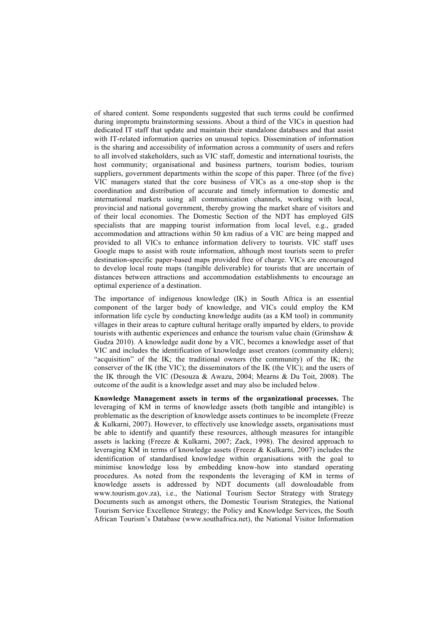of shared content. Some respondents suggested that such terms could be confirmed during impromptu brainstorming sessions. About a third of the VICs in question had dedicated IT staff that update and maintain their standalone databases and that assist with IT-related information queries on unusual topics. Dissemination of information is the sharing and accessibility of information across a community of users and refers to all involved stakeholders, such as VIC staff, domestic and international tourists, the host community; organisational and business partners, tourism bodies, tourism suppliers, government departments within the scope of this paper. Three (of the five) VIC managers stated that the core business of VICs as a one-stop shop is the coordination and distribution of accurate and timely information to domestic and international markets using all communication channels, working with local, provincial and national government, thereby growing the market share of visitors and of their local economies. The Domestic Section of the NDT has employed GIS specialists that are mapping tourist information from local level, e.g., graded accommodation and attractions within 50 km radius of a VIC are being mapped and provided to all VICs to enhance information delivery to tourists. VIC staff uses Google maps to assist with route information, although most tourists seem to prefer destination-specific paper-based maps provided free of charge. VICs are encouraged to develop local route maps (tangible deliverable) for tourists that are uncertain of distances between attractions and accommodation establishments to encourage an optimal experience of a destination.

The importance of indigenous knowledge (IK) in South Africa is an essential component of the larger body of knowledge, and VICs could employ the KM information life cycle by conducting knowledge audits (as a KM tool) in community villages in their areas to capture cultural heritage orally imparted by elders, to provide tourists with authentic experiences and enhance the tourism value chain (Grimshaw & Gudza 2010). A knowledge audit done by a VIC, becomes a knowledge asset of that VIC and includes the identification of knowledge asset creators (community elders); "acquisition" of the IK; the traditional owners (the community) of the IK; the conserver of the IK (the VIC); the disseminators of the IK (the VIC); and the users of the IK through the VIC (Desouza & Awazu, 2004; Mearns & Du Toit, 2008). The outcome of the audit is a knowledge asset and may also be included below.

**Knowledge Management assets in terms of the organizational processes.** The leveraging of KM in terms of knowledge assets (both tangible and intangible) is problematic as the description of knowledge assets continues to be incomplete (Freeze & Kulkarni, 2007). However, to effectively use knowledge assets, organisations must be able to identify and quantify these resources, although measures for intangible assets is lacking (Freeze & Kulkarni, 2007; Zack, 1998). The desired approach to leveraging KM in terms of knowledge assets (Freeze & Kulkarni, 2007) includes the identification of standardised knowledge within organisations with the goal to minimise knowledge loss by embedding know-how into standard operating procedures. As noted from the respondents the leveraging of KM in terms of knowledge assets is addressed by NDT documents (all downloadable from www.tourism.gov.za), i.e., the National Tourism Sector Strategy with Strategy Documents such as amongst others, the Domestic Tourism Strategies, the National Tourism Service Excellence Strategy; the Policy and Knowledge Services, the South African Tourism's Database (www.southafrica.net), the National Visitor Information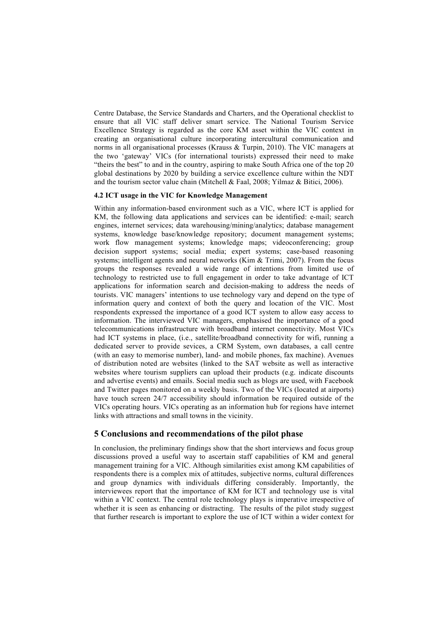Centre Database, the Service Standards and Charters, and the Operational checklist to ensure that all VIC staff deliver smart service. The National Tourism Service Excellence Strategy is regarded as the core KM asset within the VIC context in creating an organisational culture incorporating intercultural communication and norms in all organisational processes (Krauss  $\&$  Turpin, 2010). The VIC managers at the two 'gateway' VICs (for international tourists) expressed their need to make "theirs the best" to and in the country, aspiring to make South Africa one of the top 20 global destinations by 2020 by building a service excellence culture within the NDT and the tourism sector value chain (Mitchell & Faal, 2008; Yilmaz & Bitici, 2006).

#### **4.2 ICT usage in the VIC for Knowledge Management**

Within any information-based environment such as a VIC, where ICT is applied for KM, the following data applications and services can be identified: e-mail; search engines, internet services; data warehousing/mining/analytics; database management systems, knowledge base/knowledge repository; document management systems; work flow management systems; knowledge maps; videoconferencing; group decision support systems; social media; expert systems; case-based reasoning systems; intelligent agents and neural networks (Kim & Trimi, 2007). From the focus groups the responses revealed a wide range of intentions from limited use of technology to restricted use to full engagement in order to take advantage of ICT applications for information search and decision-making to address the needs of tourists. VIC managers' intentions to use technology vary and depend on the type of information query and context of both the query and location of the VIC. Most respondents expressed the importance of a good ICT system to allow easy access to information. The interviewed VIC managers, emphasised the importance of a good telecommunications infrastructure with broadband internet connectivity. Most VICs had ICT systems in place, (i.e., satellite/broadband connectivity for wifi, running a dedicated server to provide sevices, a CRM System, own databases, a call centre (with an easy to memorise number), land- and mobile phones, fax machine). Avenues of distribution noted are websites (linked to the SAT website as well as interactive websites where tourism suppliers can upload their products (e.g. indicate discounts and advertise events) and emails. Social media such as blogs are used, with Facebook and Twitter pages monitored on a weekly basis. Two of the VICs (located at airports) have touch screen 24/7 accessibility should information be required outside of the VICs operating hours. VICs operating as an information hub for regions have internet links with attractions and small towns in the vicinity.

## **5 Conclusions and recommendations of the pilot phase**

In conclusion, the preliminary findings show that the short interviews and focus group discussions proved a useful way to ascertain staff capabilities of KM and general management training for a VIC. Although similarities exist among KM capabilities of respondents there is a complex mix of attitudes, subjective norms, cultural differences and group dynamics with individuals differing considerably. Importantly, the interviewees report that the importance of KM for ICT and technology use is vital within a VIC context. The central role technology plays is imperative irrespective of whether it is seen as enhancing or distracting. The results of the pilot study suggest that further research is important to explore the use of ICT within a wider context for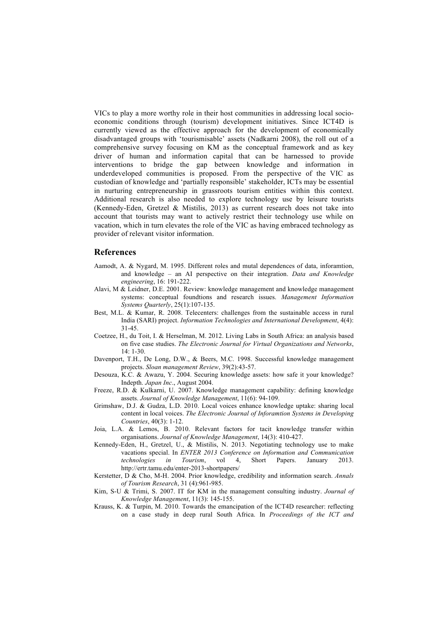VICs to play a more worthy role in their host communities in addressing local socioeconomic conditions through (tourism) development initiatives. Since ICT4D is currently viewed as the effective approach for the development of economically disadvantaged groups with 'tourismisable' assets (Nadkarni 2008), the roll out of a comprehensive survey focusing on KM as the conceptual framework and as key driver of human and information capital that can be harnessed to provide interventions to bridge the gap between knowledge and information in underdeveloped communities is proposed. From the perspective of the VIC as custodian of knowledge and 'partially responsible' stakeholder, ICTs may be essential in nurturing entrepreneurship in grassroots tourism entities within this context. Additional research is also needed to explore technology use by leisure tourists (Kennedy-Eden, Gretzel & Mistilis, 2013) as current research does not take into account that tourists may want to actively restrict their technology use while on vacation, which in turn elevates the role of the VIC as having embraced technology as provider of relevant visitor information.

#### **References**

- Aamodt, A. & Nygard, M. 1995. Different roles and mutal dependences of data, inforamtion, and knowledge – an AI perspective on their integration. *Data and Knowledge engineering*, 16: 191-222.
- Alavi, M & Leidner, D.E. 2001. Review: knowledge management and knowledge management systems: conceptual foundtions and research issues. *Management Information Systems Quarterly*, 25(1):107-135.
- Best, M.L. & Kumar, R. 2008. Telecenters: challenges from the sustainable access in rural India (SARI) project. *Information Technologies and International Development*, 4(4): 31-45.
- Coetzee, H., du Toit, I. & Herselman, M. 2012. Living Labs in South Africa: an analysis based on five case studies. *The Electronic Journal for Virtual Organizations and Networks*, 14: 1-30.
- Davenport, T.H., De Long, D.W., & Beers, M.C. 1998. Successful knowledge management projects. *Sloan management Review*, 39(2):43-57.
- Desouza, K.C. & Awazu, Y. 2004. Securing knowledge assets: how safe it your knowledge? Indepth. *Japan Inc*., August 2004.
- Freeze, R.D. & Kulkarni, U. 2007. Knowledge management capability: defining knowledge assets. *Journal of Knowledge Management*, 11(6): 94-109.
- Grimshaw, D.J. & Gudza, L.D. 2010. Local voices enhance knowledge uptake: sharing local content in local voices. *The Electronic Journal of Inforamtion Systems in Developing Countries*, 40(3): 1-12.
- Joia, L.A. & Lemos, B. 2010. Relevant factors for tacit knowledge transfer within organisations. *Journal of Knowledge Management*, 14(3): 410-427.
- Kennedy-Eden, H., Gretzel, U., & Mistilis, N. 2013. Negotiating technology use to make vacations special. In *ENTER 2013 Conference on Information and Communication technologies in Tourism*, vol 4, Short Papers. January 2013. http://ertr.tamu.edu/enter-2013-shortpapers/
- Kerstetter, D & Cho, M-H. 2004. Prior knowledge, credibility and information search. *Annals of Tourism Research*, 31 (4):961-985.
- Kim, S-U & Trimi, S. 2007. IT for KM in the management consulting industry. *Journal of Knowledge Management*, 11(3): 145-155.
- Krauss, K. & Turpin, M. 2010. Towards the emancipation of the ICT4D researcher: reflecting on a case study in deep rural South Africa. In *Proceedings of the ICT and*